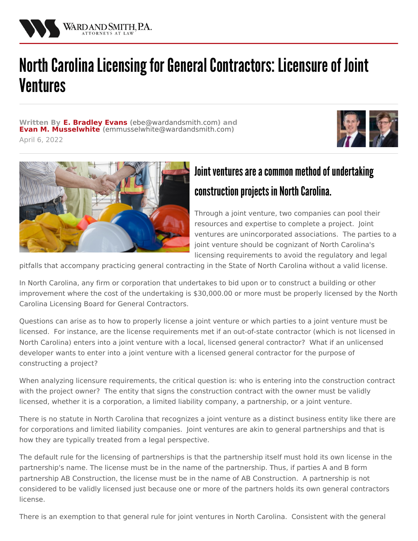

## North Carolina Licensing for General Contractors: Licensure of Joint Ventures

**Written By E. [Bradley](/attorneys/bradley-evans) Evans (**[ebe@wardandsmith.com](mailto:ebe@wardandsmith.com)**) and Evan M. [Musselwhite](/attorneys/evan-musselwhite) (**[emmusselwhite@wardandsmith.com](mailto:emmusselwhite@wardandsmith.com)**)** April 6, 2022





## Joint ventures are a common method of undertaking construction projects in North Carolina.

Through a joint venture, two companies can pool their resources and expertise to complete a project. Joint ventures are unincorporated associations. The parties to a joint venture should be cognizant of North Carolina's licensing requirements to avoid the regulatory and legal

pitfalls that accompany practicing general contracting in the State of North Carolina without a valid license.

In North Carolina, any firm or corporation that undertakes to bid upon or to construct a building or other improvement where the cost of the undertaking is \$30,000.00 or more must be properly licensed by the North Carolina Licensing Board for General Contractors.

Questions can arise as to how to properly license a joint venture or which parties to a joint venture must be licensed. For instance, are the license requirements met if an out-of-state contractor (which is not licensed in North Carolina) enters into a joint venture with a local, licensed general contractor? What if an unlicensed developer wants to enter into a joint venture with a licensed general contractor for the purpose of constructing a project?

When analyzing licensure requirements, the critical question is: who is entering into the construction contract with the project owner? The entity that signs the construction contract with the owner must be validly licensed, whether it is a corporation, a limited liability company, a partnership, or a joint venture.

There is no statute in North Carolina that recognizes a joint venture as a distinct business entity like there are for corporations and limited liability companies. Joint ventures are akin to general partnerships and that is how they are typically treated from a legal perspective.

The default rule for the licensing of partnerships is that the partnership itself must hold its own license in the partnership's name. The license must be in the name of the partnership. Thus, if parties A and B form partnership AB Construction, the license must be in the name of AB Construction. A partnership is not considered to be validly licensed just because one or more of the partners holds its own general contractors license.

There is an exemption to that general rule for joint ventures in North Carolina. Consistent with the general